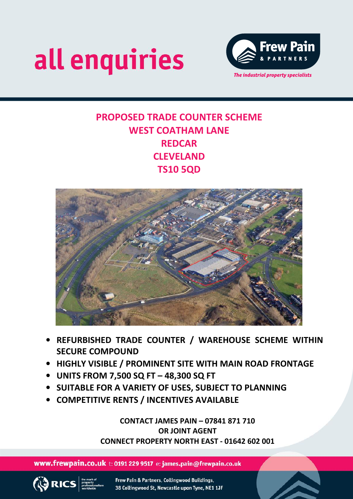



## **PROPOSED TRADE COUNTER SCHEME WEST COATHAM LANE REDCAR CLEVELAND TS10 5QD**



- **REFURBISHED TRADE COUNTER / WAREHOUSE SCHEME WITHIN SECURE COMPOUND**
- **HIGHLY VISIBLE / PROMINENT SITE WITH MAIN ROAD FRONTAGE**
- **UNITS FROM 7,500 SQ FT 48,300 SQ FT**
- **SUITABLE FOR A VARIETY OF USES, SUBJECT TO PLANNING**
- **COMPETITIVE RENTS / INCENTIVES AVAILABLE**

**CONTACT JAMES PAIN – 07841 871 710 OR JOINT AGENT CONNECT PROPERTY NORTH EAST - 01642 602 001** 

www.frewpain.co.uk t: 0191 229 9517 e: james.pain@frewpain.co.uk

**ORICS** 

Frew Pain & Partners, Collingwood Buildings, 38 Collingwood St, Newcastle upon Tyne, NE1 1JF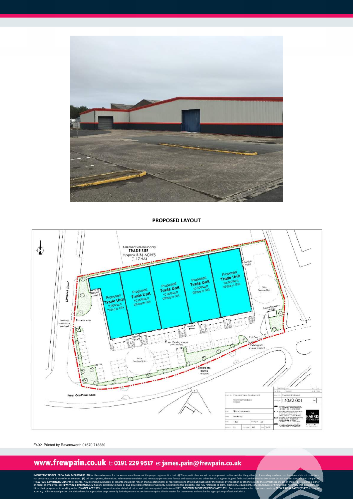

**PROPOSED LAYOUT** 



F492 Printed by Ravensworth 01670 713330

## www.frewpain.co.uk t: 0191 229 9517 e: james.pain@frewpain.co.uk

IMPORTANT NOTICE: FREW PAIN & PARTNERS LTD for themselves and for the vendors and lessors of the property give notice that. (i) These particulars are set out as a general outline only for the guidance of intending purchase